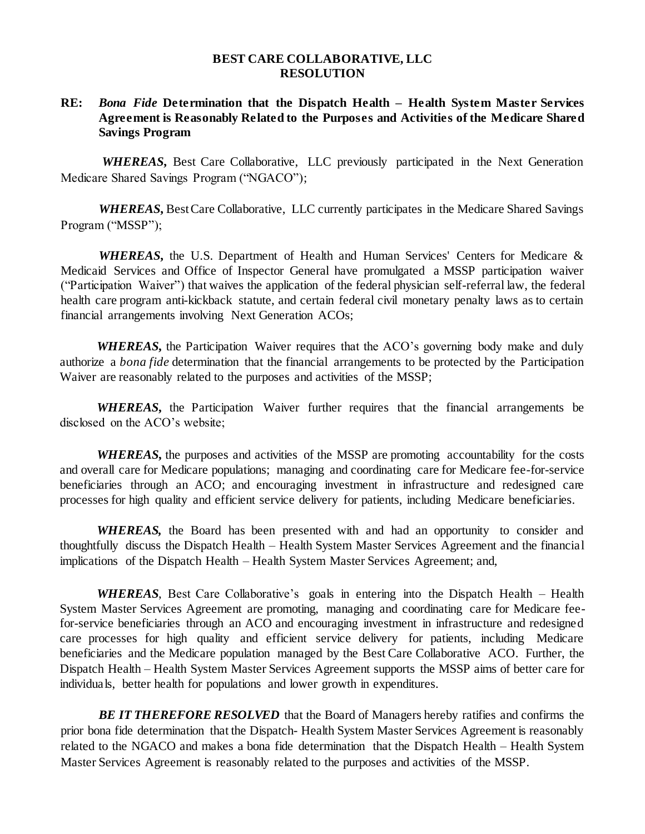### **BEST CARE COLLABORATIVE, LLC RESOLUTION**

# **RE:** *Bona Fide* **Determination that the Dispatch Health – Health System Master Services Agreement is Reasonably Related to the Purposes and Activities of the Medicare Shared Savings Program**

*WHEREAS***,** Best Care Collaborative, LLC previously participated in the Next Generation Medicare Shared Savings Program ("NGACO");

*WHEREAS***,** Best Care Collaborative, LLC currently participates in the Medicare Shared Savings Program ("MSSP");

*WHEREAS***,** the U.S. Department of Health and Human Services' Centers for Medicare & Medicaid Services and Office of Inspector General have promulgated a MSSP participation waiver ("Participation Waiver") that waives the application of the federal physician self-referral law, the federal health care program anti-kickback statute, and certain federal civil monetary penalty laws as to certain financial arrangements involving Next Generation ACOs;

*WHEREAS***,** the Participation Waiver requires that the ACO's governing body make and duly authorize a *bona fide* determination that the financial arrangements to be protected by the Participation Waiver are reasonably related to the purposes and activities of the MSSP;

*WHEREAS***,** the Participation Waiver further requires that the financial arrangements be disclosed on the ACO's website;

*WHEREAS***,** the purposes and activities of the MSSP are promoting accountability for the costs and overall care for Medicare populations; managing and coordinating care for Medicare fee-for-service beneficiaries through an ACO; and encouraging investment in infrastructure and redesigned care processes for high quality and efficient service delivery for patients, including Medicare beneficiaries.

*WHEREAS,* the Board has been presented with and had an opportunity to consider and thoughtfully discuss the Dispatch Health – Health System Master Services Agreement and the financial implications of the Dispatch Health – Health System Master Services Agreement; and,

*WHEREAS*, Best Care Collaborative's goals in entering into the Dispatch Health – Health System Master Services Agreement are promoting, managing and coordinating care for Medicare feefor-service beneficiaries through an ACO and encouraging investment in infrastructure and redesigned care processes for high quality and efficient service delivery for patients, including Medicare beneficiaries and the Medicare population managed by the Best Care Collaborative ACO. Further, the Dispatch Health – Health System Master Services Agreement supports the MSSP aims of better care for individuals, better health for populations and lower growth in expenditures.

*BE IT THEREFORE RESOLVED* that the Board of Managers hereby ratifies and confirms the prior bona fide determination that the Dispatch- Health System Master Services Agreement is reasonably related to the NGACO and makes a bona fide determination that the Dispatch Health – Health System Master Services Agreement is reasonably related to the purposes and activities of the MSSP.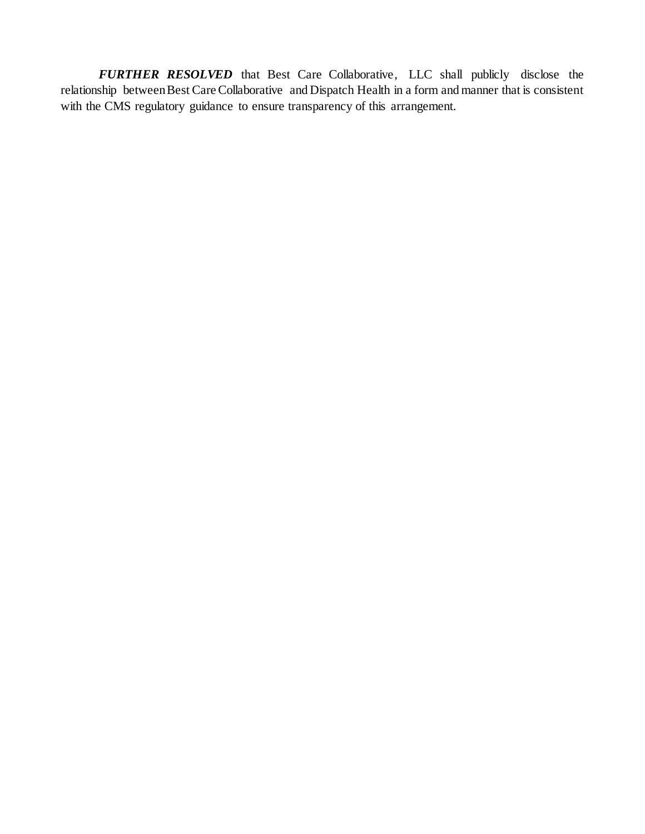*FURTHER RESOLVED* that Best Care Collaborative, LLC shall publicly disclose the relationship between Best Care Collaborative and Dispatch Health in a form and manner that is consistent with the CMS regulatory guidance to ensure transparency of this arrangement.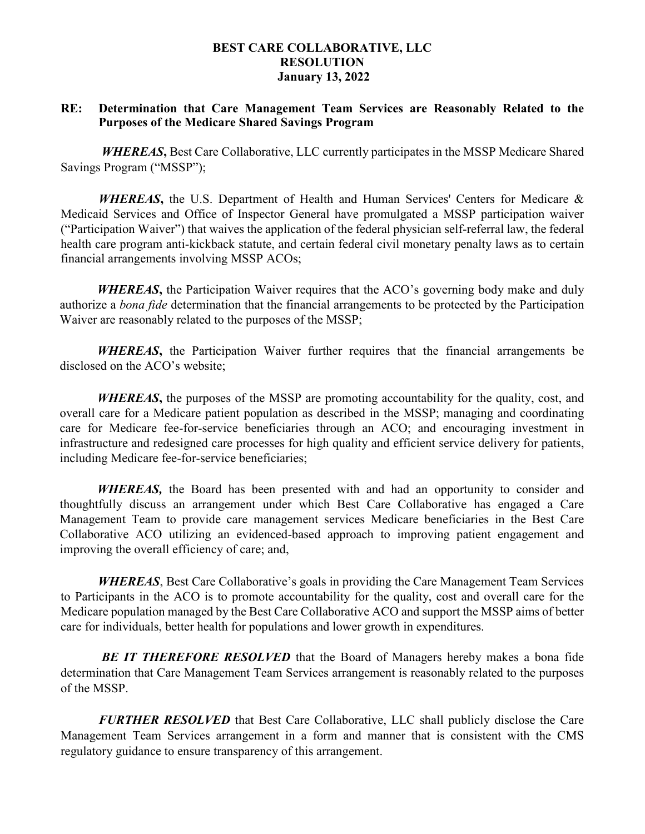# **BEST CARE COLLABORATIVE, LLC RESOLUTION January 13, 2022**

# **RE: Determination that Care Management Team Services are Reasonably Related to the Purposes of the Medicare Shared Savings Program**

*WHEREAS***,** Best Care Collaborative, LLC currently participates in the MSSP Medicare Shared Savings Program ("MSSP");

*WHEREAS***,** the U.S. Department of Health and Human Services' Centers for Medicare & Medicaid Services and Office of Inspector General have promulgated a MSSP participation waiver ("Participation Waiver") that waives the application of the federal physician self-referral law, the federal health care program anti-kickback statute, and certain federal civil monetary penalty laws as to certain financial arrangements involving MSSP ACOs;

*WHEREAS***,** the Participation Waiver requires that the ACO's governing body make and duly authorize a *bona fide* determination that the financial arrangements to be protected by the Participation Waiver are reasonably related to the purposes of the MSSP;

*WHEREAS***,** the Participation Waiver further requires that the financial arrangements be disclosed on the ACO's website;

*WHEREAS***,** the purposes of the MSSP are promoting accountability for the quality, cost, and overall care for a Medicare patient population as described in the MSSP; managing and coordinating care for Medicare fee-for-service beneficiaries through an ACO; and encouraging investment in infrastructure and redesigned care processes for high quality and efficient service delivery for patients, including Medicare fee-for-service beneficiaries;

*WHEREAS,* the Board has been presented with and had an opportunity to consider and thoughtfully discuss an arrangement under which Best Care Collaborative has engaged a Care Management Team to provide care management services Medicare beneficiaries in the Best Care Collaborative ACO utilizing an evidenced-based approach to improving patient engagement and improving the overall efficiency of care; and,

*WHEREAS*, Best Care Collaborative's goals in providing the Care Management Team Services to Participants in the ACO is to promote accountability for the quality, cost and overall care for the Medicare population managed by the Best Care Collaborative ACO and support the MSSP aims of better care for individuals, better health for populations and lower growth in expenditures.

*BE IT THEREFORE RESOLVED* that the Board of Managers hereby makes a bona fide determination that Care Management Team Services arrangement is reasonably related to the purposes of the MSSP.

*FURTHER RESOLVED* that Best Care Collaborative, LLC shall publicly disclose the Care Management Team Services arrangement in a form and manner that is consistent with the CMS regulatory guidance to ensure transparency of this arrangement.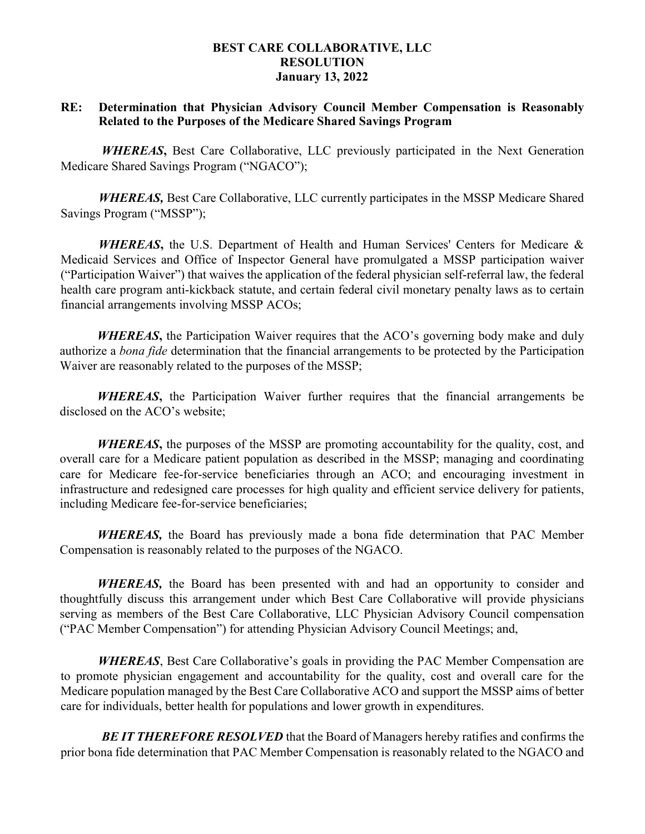# **BEST CARE COLLABORATIVE, LLC RESOLUTION January 13, 2022**

# **RE: Determination that Physician Advisory Council Member Compensation is Reasonably Related to the Purposes of the Medicare Shared Savings Program**

**WHEREAS**, Best Care Collaborative, LLC previously participated in the Next Generation Medicare Shared Savings Program ("NGACO");

*WHEREAS,* Best Care Collaborative, LLC currently participates in the MSSP Medicare Shared Savings Program ("MSSP");

*WHEREAS***,** the U.S. Department of Health and Human Services' Centers for Medicare & Medicaid Services and Office of Inspector General have promulgated a MSSP participation waiver ("Participation Waiver") that waives the application of the federal physician self-referral law, the federal health care program anti-kickback statute, and certain federal civil monetary penalty laws as to certain financial arrangements involving MSSP ACOs;

*WHEREAS***,** the Participation Waiver requires that the ACO's governing body make and duly authorize a *bona fide* determination that the financial arrangements to be protected by the Participation Waiver are reasonably related to the purposes of the MSSP;

*WHEREAS***,** the Participation Waiver further requires that the financial arrangements be disclosed on the ACO's website;

*WHEREAS***,** the purposes of the MSSP are promoting accountability for the quality, cost, and overall care for a Medicare patient population as described in the MSSP; managing and coordinating care for Medicare fee-for-service beneficiaries through an ACO; and encouraging investment in infrastructure and redesigned care processes for high quality and efficient service delivery for patients, including Medicare fee-for-service beneficiaries;

*WHEREAS,* the Board has previously made a bona fide determination that PAC Member Compensation is reasonably related to the purposes of the NGACO.

*WHEREAS,* the Board has been presented with and had an opportunity to consider and thoughtfully discuss this arrangement under which Best Care Collaborative will provide physicians serving as members of the Best Care Collaborative, LLC Physician Advisory Council compensation ("PAC Member Compensation") for attending Physician Advisory Council Meetings; and,

*WHEREAS*, Best Care Collaborative's goals in providing the PAC Member Compensation are to promote physician engagement and accountability for the quality, cost and overall care for the Medicare population managed by the Best Care Collaborative ACO and support the MSSP aims of better care for individuals, better health for populations and lower growth in expenditures.

**BE IT THEREFORE RESOLVED** that the Board of Managers hereby ratifies and confirms the prior bona fide determination that PAC Member Compensation is reasonably related to the NGACO and